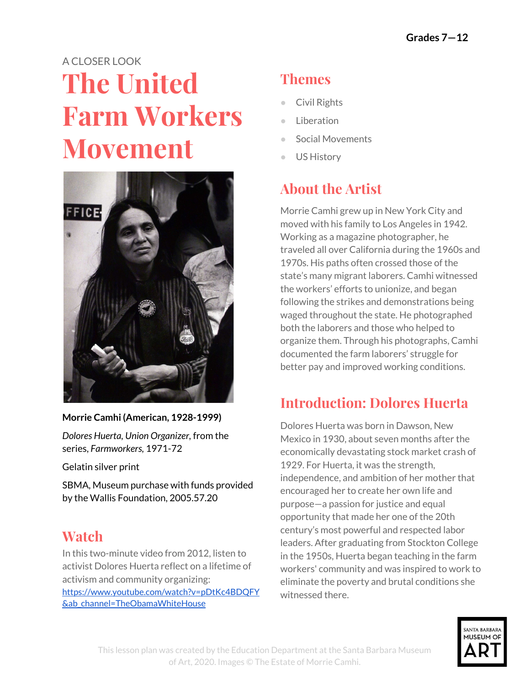# A CLOSER LOOK **The United Farm Workers Movement**



**Morrie Camhi (American, 1928-1999)**

*Dolores Huerta, Union Organizer,* from the series, *Farmworkers,* 1971-72

Gelatin silver print

SBMA, Museum purchase with funds provided by the Wallis Foundation, 2005.57.20

#### **Watch**

In this two-minute video from 2012, listen to activist Dolores Huerta reflect on a lifetime of activism and community organizing: [https://www.youtube.com/watch?v=pDtKc4BDQFY](https://www.youtube.com/watch?v=pDtKc4BDQFY&ab_channel=TheObamaWhiteHouse) [&ab\\_channel=TheObamaWhiteHouse](https://www.youtube.com/watch?v=pDtKc4BDQFY&ab_channel=TheObamaWhiteHouse)

# **Themes**

- Civil Rights
- Liberation
- Social Movements
- US History

# **About the Artist**

Morrie Camhi grew up in New York City and moved with his family to Los Angeles in 1942. Working as a magazine photographer, he traveled all over California during the 1960s and 1970s. His paths often crossed those of the state's many migrant laborers. Camhi witnessed the workers' efforts to unionize, and began following the strikes and demonstrations being waged throughout the state. He photographed both the laborers and those who helped to organize them. Through his photographs, Camhi documented the farm laborers' struggle for better pay and improved working conditions.

## **Introduction: Dolores Huerta**

Dolores Huerta was born in Dawson, New Mexico in 1930, about seven months after the economically devastating stock market crash of 1929. For Huerta, it was the strength, independence, and ambition of her mother that encouraged her to create her own life and purpose—a passion for justice and equal opportunity that made her one of the 20th century's most powerful and respected labor leaders. After graduating from Stockton College in the 1950s, Huerta began teaching in the farm workers' community and was inspired to work to eliminate the poverty and brutal conditions she witnessed there.

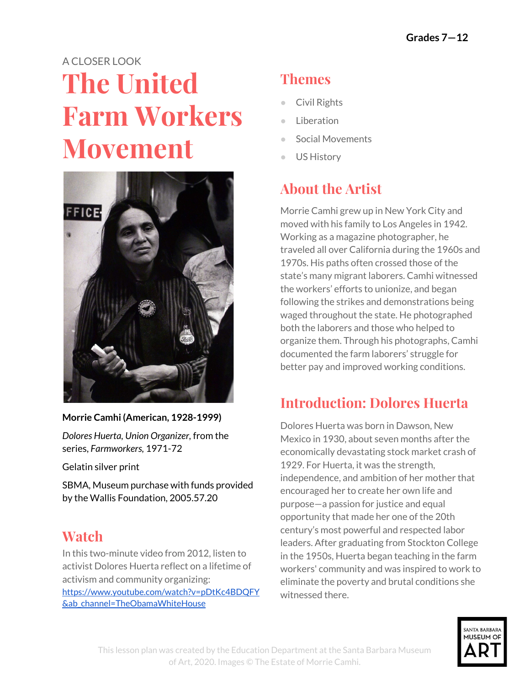In 1962, Huerta co-founded with activist César Chávez, what would become the United Farm Workers Union (UFW). Using tactics of non-violence, she organized an effective boycott of California table grapes and successfully lobbied for the Agricultural Labor Relations Act, which grants farm workers the right to collectively organize and bargain for better wages and working conditions.

### **Research: The Fight of Farm Workers in the United States**

The history of migrant workers in the western United States has a long and complicated history. By the mid-20th century, most migrant farm workers in the west were Mexican, due in large part to the exploitative Bracero program, which brought thousands of Mexicans to the United States between 1941–1964. Research the Bracero program. What were its aims and goals? Where did it fall short?

The United Farm Workers movement was initiated, in large part, as a response to this program and the conditions of farm workers. Research the origins of the UFW. Along with Huerta, who were its main leaders? What were the organization's primary goals? How did it organize to achieve those goals?

## **Activity: Creating a Logo**

In two of the photographs, you will notice the logo for UFW. The logo incorporates the Aztec eagle to show the connection the union had to migrant workers of Mexican-American descent, encircled in white to signify hope and aspiration.

**If you were to design a logo for a cause you believe in today, what would itlook like? Would you include a symbol or letters? What colors would it be? Draw your logo.**



**Morrie Camhi (American, 1928-1999)** *Farmworker's Press Conference,* 1971-1972 Gelatin silver print SBMA, Museum purchase with funds provided

## **Read: Still Striving**

by the Wallis Foundation, 2005.57.1

In 2012, President Barack Obama bestowed on Huerta her most prestigious award, the Presidential Medal of Freedom, the highest civilian honor in the United States. Upon receiving it, Huerta said: "*The freedom of association meansthat people can come together in organization to fight forsolutionsto the problems they confront in their communities. The great social justice changesin our country have happened when people came together, organized, and took direct action. It isthisright thatsustains and nurtures our democracy today. The civil rights movement, the labor movement, the women's movement, and the equality movement for our LGBT brothers and sisters are all manifestations of these rights. I thank President Obama for raising the importance of organizing to the highest level of merit and honor."*

**Reflect on Huerta's words and the idea of organizing. If you had to organize for a cause you believe in, what would you say to bring people together?**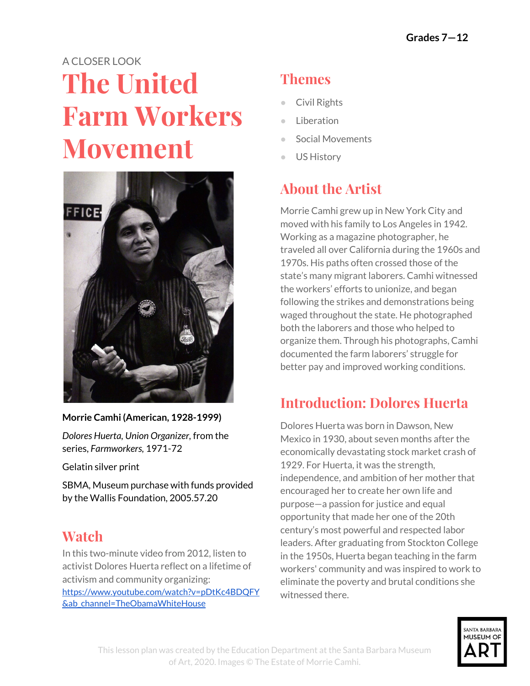*Young Man with Union Brochure,* 1972\*

#### **Activity: Making Connections**

In two of the photographs by Morrie Camhi—one of a famous leader of the Chicano/a movement, the other of an unknown young man—we see a rolled-up piece of paper in their hands. Look closely. Do these papers seem related? Do the photographs? What do you see that makes you say yes or no?

While the woman, Huerta, is a committed spokesperson for the cause, the young man appears to be considering joining it. Write an imaginary conversation between these two people. What might Huerta have wanted to say to this young man who is lost in thought? What question might he have asked of this impassioned leader? Write the conversation as you imagine it. Or write an internal monologue—what they are individually thinking—as if you were inside their minds.

#### **Two Versions of the Story: Poetry and Newspapers**

The two poems on the following page were written by poets who grew up in California. Both worked in the fields beside their parents as migrant laborers. For them, the idea of a living wage was sacred, as was the UFW. These poems turn a moment of history into something searingly personal.

Read the poems and then "translate" them as if you were writing a news story. Take the same inspiration—the strike at Delano, a bus full of workers stopped by immigration officials—and rewrite the events as they might have been reported in the newspaper that day. What difference does the language of poetry make to your feeling about these events? Which poem would be more likely to move you to action?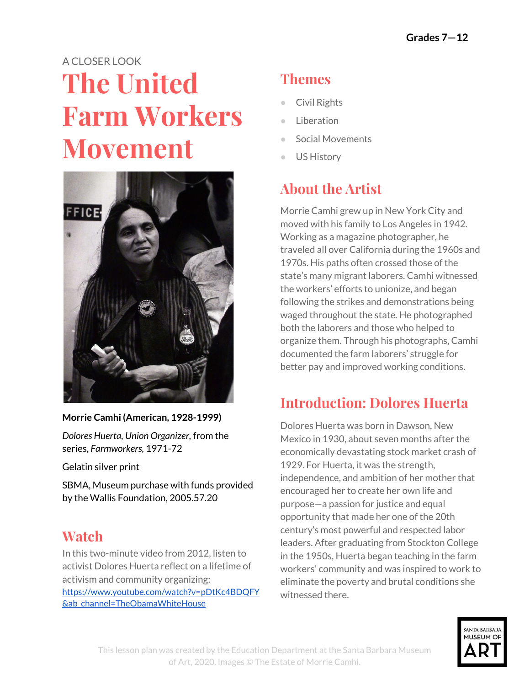#### *Huelga* **Diana García**

September 24th, 1965 Delano California. You remember this day. How can you forget? Iconic this photo, outsize reproduction guiding us in. The great strikes in Delano, where it all began and you were there. Look at you atop a truck, sun in your eyes, you squint. Sensible clothes, sleeves pushed up passed your elbows, your get to work look. Comfy dark slacks, nothing you'd wear to church, nothing you'd wear turning trays. You turned from side to side, arms tired from holding the sign. It looks heavy, the word huelga feels heavy. Think of what this word means to all those who follow you out that day. Think of the lives changed by this one word, workers daring to claim their lives. Daring to think their arms, backs, legs should earn them more than subsistence wages. More than a quick meal midday, more than those furtive trips to the edge of the fields, hunkered down against crying eyes. More than dry eyes and dryer throats. The heat rises, pushes against your face, singles you out atop that truck. You must wonder if even now someone has you in their crosshairs. You must wonder what would happen to your children. But you can't think about them,

because this is about your children. This is about all the children, about all these young workers, ready to walk out, ready to follow you, ready not to grow old beneath another hot sun.

#### *Bent to the Earth* **Blas Manuel de Luna**

They had hit Ruben with the high beams, had blinded him so that the van he was driving, full of Mexicans going to pick tomatoes, would have to stop. Ruben spun

the van into an irrigation ditch, spun the five-year-old me awake to immigration officers, their batons already out, already looking for the soft spots on the body, to my mother being handcuffed and dragged to a van, to my father trying to show them our green cards.

They let us go. But Alvaro was going back. So was his brother Fernando. So was their sister Sonia. Their mother did not escape, and so was going back. Their father was somewhere in the field, and was free. There were no great truths

revealed to me then. No wisdom given to me by anyone. I was a child who had seen what a piece of polished wood could do to a face, who had seen his father about to lose the one he loved, who had lost some friends who would never return, who, later that morning, bent to the earth and went to work.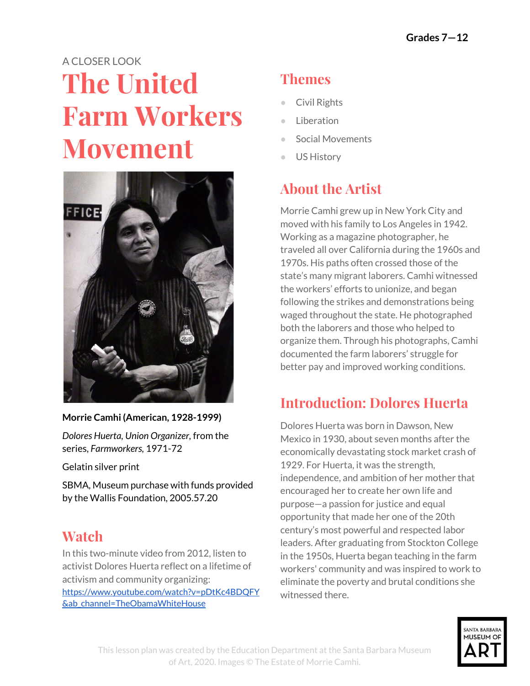

Morrie Camhi, *Dolores Huerta, Union Organizer*, from the series, *Farmworkers*, 1971-72. Gelatin silver print. SBMA, Museum purchase with funds provided by the Wallis Foundation, 2005.57.20.